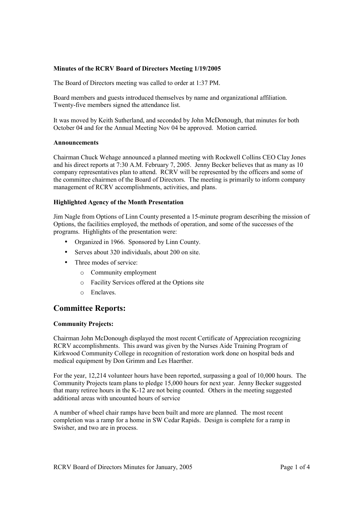# **Minutes of the RCRV Board of Directors Meeting 1/19/2005**

The Board of Directors meeting was called to order at 1:37 PM.

Board members and guests introduced themselves by name and organizational affiliation. Twenty-five members signed the attendance list.

It was moved by Keith Sutherland, and seconded by John McDonough, that minutes for both October 04 and for the Annual Meeting Nov 04 be approved. Motion carried.

#### **Announcements**

Chairman Chuck Wehage announced a planned meeting with Rockwell Collins CEO Clay Jones and his direct reports at 7:30 A.M. February 7, 2005. Jenny Becker believes that as many as 10 company representatives plan to attend. RCRV will be represented by the officers and some of the committee chairmen of the Board of Directors. The meeting is primarily to inform company management of RCRV accomplishments, activities, and plans.

# **Highlighted Agency of the Month Presentation**

Jim Nagle from Options of Linn County presented a 15-minute program describing the mission of Options, the facilities employed, the methods of operation, and some of the successes of the programs. Highlights of the presentation were:

- Organized in 1966. Sponsored by Linn County.
- Serves about 320 individuals, about 200 on site.
- Three modes of service:
	- o Community employment
	- o Facility Services offered at the Options site
	- o Enclaves.

# **Committee Reports:**

# **Community Projects:**

Chairman John McDonough displayed the most recent Certificate of Appreciation recognizing RCRV accomplishments. This award was given by the Nurses Aide Training Program of Kirkwood Community College in recognition of restoration work done on hospital beds and medical equipment by Don Grimm and Les Haerther.

For the year, 12,214 volunteer hours have been reported, surpassing a goal of 10,000 hours. The Community Projects team plans to pledge 15,000 hours for next year. Jenny Becker suggested that many retiree hours in the K-12 are not being counted. Others in the meeting suggested additional areas with uncounted hours of service

A number of wheel chair ramps have been built and more are planned. The most recent completion was a ramp for a home in SW Cedar Rapids. Design is complete for a ramp in Swisher, and two are in process.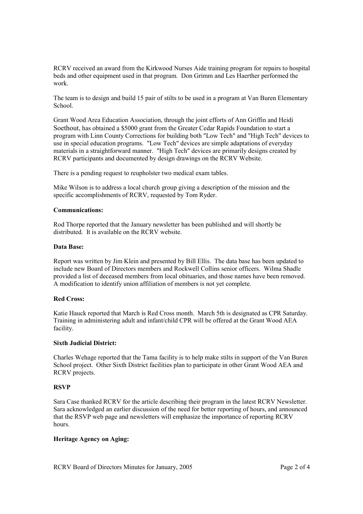RCRV received an award from the Kirkwood Nurses Aide training program for repairs to hospital beds and other equipment used in that program. Don Grimm and Les Haerther performed the work.

The team is to design and build 15 pair of stilts to be used in a program at Van Buren Elementary School.

Grant Wood Area Education Association, through the joint efforts of Ann Griffin and Heidi Soethout, has obtained a \$5000 grant from the Greater Cedar Rapids Foundation to start a program with Linn County Corrections for building both "Low Tech" and "High Tech" devices to use in special education programs. "Low Tech" devices are simple adaptations of everyday materials in a straightforward manner. "High Tech" devices are primarily designs created by RCRV participants and documented by design drawings on the RCRV Website.

There is a pending request to reupholster two medical exam tables.

Mike Wilson is to address a local church group giving a description of the mission and the specific accomplishments of RCRV, requested by Tom Ryder.

# **Communications:**

Rod Thorpe reported that the January newsletter has been published and will shortly be distributed. It is available on the RCRV website.

#### **Data Base:**

Report was written by Jim Klein and presented by Bill Ellis. The data base has been updated to include new Board of Directors members and Rockwell Collins senior officers. Wilma Shadle provided a list of deceased members from local obituaries, and those names have been removed. A modification to identify union affiliation of members is not yet complete.

### **Red Cross:**

Katie Hauck reported that March is Red Cross month. March 5th is designated as CPR Saturday. Training in administering adult and infant/child CPR will be offered at the Grant Wood AEA facility.

#### **Sixth Judicial District:**

Charles Wehage reported that the Tama facility is to help make stilts in support of the Van Buren School project. Other Sixth District facilities plan to participate in other Grant Wood AEA and RCRV projects.

# **RSVP**

Sara Case thanked RCRV for the article describing their program in the latest RCRV Newsletter. Sara acknowledged an earlier discussion of the need for better reporting of hours, and announced that the RSVP web page and newsletters will emphasize the importance of reporting RCRV hours.

#### **Heritage Agency on Aging:**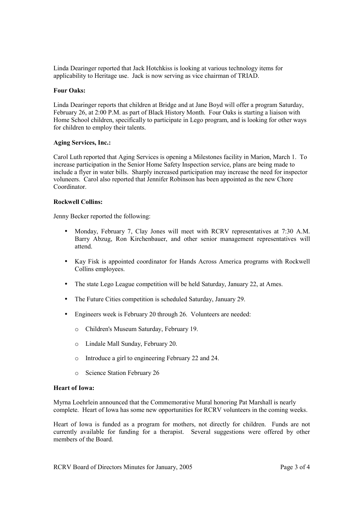Linda Dearinger reported that Jack Hotchkiss is looking at various technology items for applicability to Heritage use. Jack is now serving as vice chairman of TRIAD.

# **Four Oaks:**

Linda Dearinger reports that children at Bridge and at Jane Boyd will offer a program Saturday, February 26, at 2:00 P.M. as part of Black History Month. Four Oaks is starting a liaison with Home School children, specifically to participate in Lego program, and is looking for other ways for children to employ their talents.

# **Aging Services, Inc.:**

Carol Luth reported that Aging Services is opening a Milestones facility in Marion, March 1. To increase participation in the Senior Home Safety Inspection service, plans are being made to include a flyer in water bills. Sharply increased participation may increase the need for inspector voluneers. Carol also reported that Jennifer Robinson has been appointed as the new Chore Coordinator.

# **Rockwell Collins:**

Jenny Becker reported the following:

- Monday, February 7, Clay Jones will meet with RCRV representatives at 7:30 A.M. Barry Abzug, Ron Kirchenbauer, and other senior management representatives will attend.
- Kay Fisk is appointed coordinator for Hands Across America programs with Rockwell Collins employees.
- The state Lego League competition will be held Saturday, January 22, at Ames.
- The Future Cities competition is scheduled Saturday, January 29.
- Engineers week is February 20 through 26. Volunteers are needed:
	- o Children's Museum Saturday, February 19.
	- o Lindale Mall Sunday, February 20.
	- o Introduce a girl to engineering February 22 and 24.
	- o Science Station February 26

# **Heart of Iowa:**

Myrna Loehrlein announced that the Commemorative Mural honoring Pat Marshall is nearly complete. Heart of Iowa has some new opportunities for RCRV volunteers in the coming weeks.

Heart of Iowa is funded as a program for mothers, not directly for children. Funds are not currently available for funding for a therapist. Several suggestions were offered by other members of the Board.